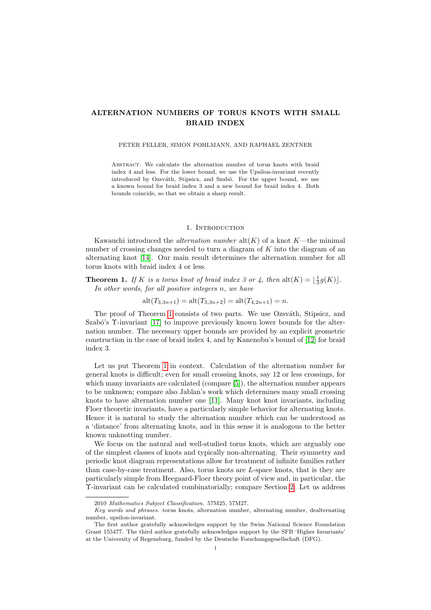# ALTERNATION NUMBERS OF TORUS KNOTS WITH SMALL BRAID INDEX

#### PETER FELLER, SIMON POHLMANN, AND RAPHAEL ZENTNER

Abstract. We calculate the alternation number of torus knots with braid index 4 and less. For the lower bound, we use the Upsilon-invariant recently introduced by Ozsváth, Stipsicz, and Szabó. For the upper bound, we use a known bound for braid index 3 and a new bound for braid index 4. Both bounds coincide, so that we obtain a sharp result.

# 1. INTRODUCTION

Kawauchi introduced the *alternation number*  $\text{alt}(K)$  of a knot K—the minimal number of crossing changes needed to turn a diagram of  $K$  into the diagram of an alternating knot [\[14\]](#page-8-0). Our main result determines the alternation number for all torus knots with braid index 4 or less.

<span id="page-0-0"></span>**Theorem 1.** If K is a torus knot of braid index 3 or 4, then  $alt(K) = \lfloor \frac{1}{3}g(K) \rfloor$ . In other words, for all positive integers n, we have

 $\text{alt}(T_{3,3n+1}) = \text{alt}(T_{3,3n+2}) = \text{alt}(T_{4,2n+1}) = n.$ 

The proof of Theorem [1](#page-0-0) consists of two parts. We use Ozsváth, Stipsicz, and Szabó's  $\Upsilon$ -invariant [\[17\]](#page-8-1) to improve previously known lower bounds for the alternation number. The necessary upper bounds are provided by an explicit geometric construction in the case of braid index 4, and by Kanenobu's bound of [\[12\]](#page-8-2) for braid index 3.

Let us put Theorem [1](#page-0-0) in context. Calculation of the alternation number for general knots is difficult; even for small crossing knots, say 12 or less crossings, for which many invariants are calculated (compare [\[5\]](#page-7-0)), the alternation number appears to be unknown; compare also Jablan's work which determines many small crossing knots to have alternation number one [\[11\]](#page-7-1). Many knot knot invariants, including Floer theoretic invariants, have a particularly simple behavior for alternating knots. Hence it is natural to study the alternation number which can be understood as a 'distance' from alternating knots, and in this sense it is analogous to the better known unknotting number.

We focus on the natural and well-studied torus knots, which are arguably one of the simplest classes of knots and typically non-alternating. Their symmetry and periodic knot diagram representations allow for treatment of infinite families rather than case-by-case treatment. Also, torus knots are L-space knots, that is they are particularly simple from Heegaard-Floer theory point of view and, in particular, the Υ-invariant can be calculated combinatorially; compare Section [2.](#page-2-0) Let us address

<sup>2010</sup> Mathematics Subject Classification. 57M25, 57M27.

Key words and phrases. torus knots, alternation number, alternating number, dealternating number, upsilon-invariant.

The first author gratefully acknowledges support by the Swiss National Science Foundation Grant 155477. The third author gratefully acknowledges support by the SFB 'Higher Invariants' at the University of Regensburg, funded by the Deutsche Forschungsgesellschaft (DFG).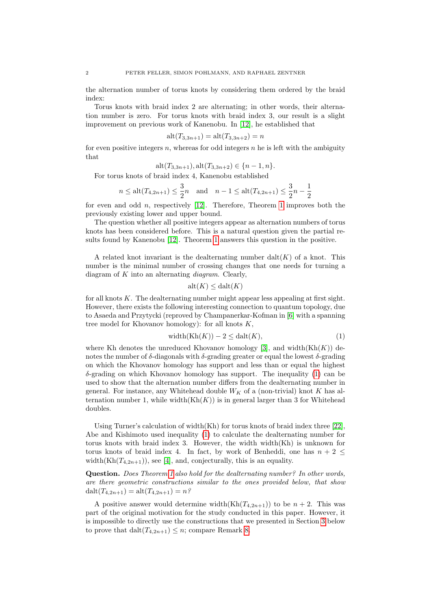the alternation number of torus knots by considering them ordered by the braid index:

Torus knots with braid index 2 are alternating; in other words, their alternation number is zero. For torus knots with braid index 3, our result is a slight improvement on previous work of Kanenobu. In [\[12\]](#page-8-2), he established that

$$
alt(T_{3,3n+1}) = alt(T_{3,3n+2}) = n
$$

for even positive integers n, whereas for odd integers  $n$  he is left with the ambiguity that

$$
alt(T_{3,3n+1}), alt(T_{3,3n+2}) \in \{n-1,n\}.
$$

For torus knots of braid index 4, Kanenobu established

$$
n \le \text{alt}(T_{4,2n+1}) \le \frac{3}{2}n
$$
 and  $n-1 \le \text{alt}(T_{4,2n+1}) \le \frac{3}{2}n - \frac{1}{2}$ 

for even and odd n, respectively [\[12\]](#page-8-2). Therefore, Theorem [1](#page-0-0) improves both the previously existing lower and upper bound.

The question whether all positive integers appear as alternation numbers of torus knots has been considered before. This is a natural question given the partial results found by Kanenobu [\[12\]](#page-8-2). Theorem [1](#page-0-0) answers this question in the positive.

A related knot invariant is the dealternating number  $\text{dalt}(K)$  of a knot. This number is the minimal number of crossing changes that one needs for turning a diagram of  $K$  into an alternating *diagram*. Clearly,

$$
alt(K) \leq dat(K)
$$

for all knots  $K$ . The dealternating number might appear less appealing at first sight. However, there exists the following interesting connection to quantum topology, due to Asaeda and Przytycki (reproved by Champanerkar-Kofman in [\[6\]](#page-7-2) with a spanning tree model for Khovanov homology): for all knots  $K$ ,

<span id="page-1-0"></span>
$$
\text{width}(\text{Kh}(K)) - 2 \le \text{dalt}(K),\tag{1}
$$

where Kh denotes the unreduced Khovanov homology [\[3\]](#page-7-3), and width $(Kh(K))$  denotes the number of  $\delta$ -diagonals with  $\delta$ -grading greater or equal the lowest  $\delta$ -grading on which the Khovanov homology has support and less than or equal the highest  $\delta$ -grading on which Khovanov homology has support. The inequality [\(1\)](#page-1-0) can be used to show that the alternation number differs from the dealternating number in general. For instance, any Whitehead double  $W_K$  of a (non-trivial) knot K has alternation number 1, while width $(Kh(K))$  is in general larger than 3 for Whitehead doubles.

Using Turner's calculation of width(Kh) for torus knots of braid index three [\[22\]](#page-8-3), Abe and Kishimoto used inequality [\(1\)](#page-1-0) to calculate the dealternating number for torus knots with braid index 3. However, the width width(Kh) is unknown for torus knots of braid index 4. In fact, by work of Benheddi, one has  $n + 2 \leq$ width(Kh $(T_{4,2n+1})$ ), see [\[4\]](#page-7-4), and, conjecturally, this is an equality.

Question. Does Theorem [1](#page-0-0) also hold for the dealternating number? In other words, are there geometric constructions similar to the ones provided below, that show  $\text{dalt}(T_{4,2n+1}) = \text{alt}(T_{4,2n+1}) = n$ ?

A positive answer would determine width(Kh $(T_{4,2n+1})$ ) to be  $n+2$ . This was part of the original motivation for the study conducted in this paper. However, it is impossible to directly use the constructions that we presented in Section [3](#page-3-0) below to prove that  $\text{dalt}(T_{4,2n+1}) \leq n$ ; compare Remark [8.](#page-3-1)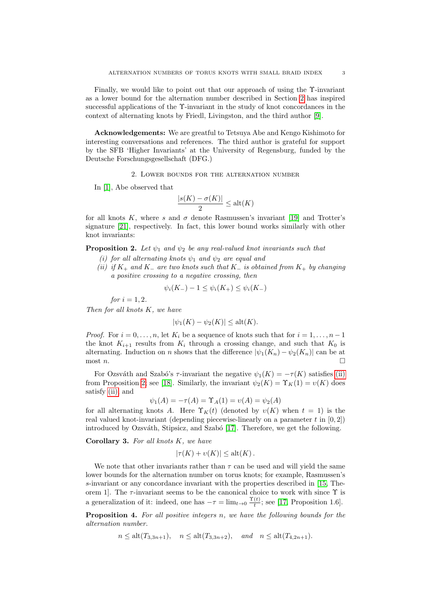Finally, we would like to point out that our approach of using the Υ-invariant as a lower bound for the alternation number described in Section [2](#page-2-0) has inspired successful applications of the  $\Upsilon$ -invariant in the study of knot concordances in the context of alternating knots by Friedl, Livingston, and the third author [\[9\]](#page-7-5).

Acknowledgements: We are greatful to Tetsuya Abe and Kengo Kishimoto for interesting conversations and references. The third author is grateful for support by the SFB 'Higher Invariants' at the University of Regensburg, funded by the Deutsche Forschungsgesellschaft (DFG.)

2. Lower bounds for the alternation number

<span id="page-2-0"></span>In [\[1\]](#page-7-6), Abe observed that

$$
\frac{|s(K) - \sigma(K)|}{2} \le \text{alt}(K)
$$

for all knots K, where s and  $\sigma$  denote Rasmussen's invariant [\[19\]](#page-8-4) and Trotter's signature [\[21\]](#page-8-5), respectively. In fact, this lower bound works similarly with other knot invariants:

<span id="page-2-2"></span>**Proposition 2.** Let  $\psi_1$  and  $\psi_2$  be any real-valued knot invariants such that

- (i) for all alternating knots  $\psi_1$  and  $\psi_2$  are equal and
- <span id="page-2-1"></span>(ii) if  $K_+$  and  $K_-$  are two knots such that  $K_-$  is obtained from  $K_+$  by changing a positive crossing to a negative crossing, then

$$
\psi_i(K_-) - 1 \le \psi_i(K_+) \le \psi_i(K_-)
$$

for  $i = 1, 2$ .

Then for all knots K, we have

$$
|\psi_1(K) - \psi_2(K)| \le \operatorname{alt}(K).
$$

*Proof.* For  $i = 0, \ldots, n$ , let  $K_i$  be a sequence of knots such that for  $i = 1, \ldots, n - 1$ the knot  $K_{i+1}$  results from  $K_i$  through a crossing change, and such that  $K_0$  is alternating. Induction on n shows that the difference  $|\psi_1(K_n) - \psi_2(K_n)|$  can be at  $\Box$  most n.

For Ozsváth and Szabó's  $\tau$ -invariant the negative  $\psi_1(K) = -\tau(K)$  satisfies [\(ii\)](#page-2-1) from Proposition [2;](#page-2-2) see [\[18\]](#page-8-6). Similarly, the invariant  $\psi_2(K) = \Upsilon_K(1) = v(K)$  does satisfy [\(ii\),](#page-2-1) and

$$
\psi_1(A) = -\tau(A) = \Upsilon_A(1) = v(A) = \psi_2(A)
$$

for all alternating knots A. Here  $\Upsilon_K(t)$  (denoted by  $v(K)$  when  $t = 1$ ) is the real valued knot-invariant (depending piecewise-linearly on a parameter  $t$  in  $[0, 2]$ ) introduced by Ozsváth, Stipsicz, and Szabó [\[17\]](#page-8-1). Therefore, we get the following.

<span id="page-2-3"></span>Corollary 3. For all knots  $K$ , we have

$$
|\tau(K) + \upsilon(K)| \le \operatorname{alt}(K).
$$

We note that other invariants rather than  $\tau$  can be used and will yield the same lower bounds for the alternation number on torus knots; for example, Rasmussen's s-invariant or any concordance invariant with the properties described in [\[15,](#page-8-7) Theorem 1]. The  $\tau$ -invariant seems to be the canonical choice to work with since  $\Upsilon$  is a generalization of it: indeed, one has  $-\tau = \lim_{t\to 0} \frac{\Upsilon(t)}{t}$  $\frac{(t)}{t}$ ; see [\[17,](#page-8-1) Proposition 1.6].

<span id="page-2-4"></span>Proposition 4. For all positive integers n, we have the following bounds for the alternation number.

$$
n \leq alt(T_{3,3n+1}), \quad n \leq alt(T_{3,3n+2}), \quad and \quad n \leq alt(T_{4,2n+1}).
$$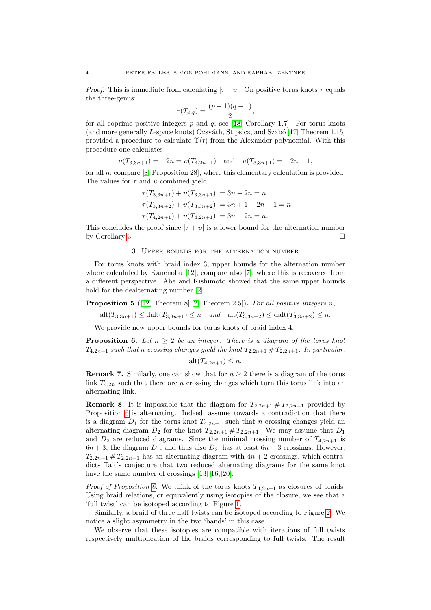*Proof.* This is immediate from calculating  $|\tau + v|$ . On positive torus knots  $\tau$  equals the three-genus:

$$
\tau(T_{p,q}) = \frac{(p-1)(q-1)}{2},
$$

for all coprime positive integers  $p$  and  $q$ ; see [\[18,](#page-8-6) Corollary 1.7]. For torus knots (and more generally L-space knots) Ozsváth, Stipsicz, and Szabó [\[17,](#page-8-1) Theorem 1.15] provided a procedure to calculate  $\Upsilon(t)$  from the Alexander polynomial. With this procedure one calculates

$$
v(T_{3,3n+1}) = -2n = v(T_{4,2n+1})
$$
 and  $v(T_{3,3n+1}) = -2n - 1$ ,

for all  $n$ ; compare [\[8,](#page-7-7) Proposition 28], where this elementary calculation is provided. The values for  $\tau$  and  $\upsilon$  combined yield

$$
|\tau(T_{3,3n+1}) + \nu(T_{3,3n+1})| = 3n - 2n = n
$$
  
\n
$$
|\tau(T_{3,3n+2}) + \nu(T_{3,3n+2})| = 3n + 1 - 2n - 1 = n
$$
  
\n
$$
|\tau(T_{4,2n+1}) + \nu(T_{4,2n+1})| = 3n - 2n = n.
$$

This concludes the proof since  $|\tau + v|$  is a lower bound for the alternation number by Corollary [3.](#page-2-3)

# 3. Upper bounds for the alternation number

<span id="page-3-0"></span>For torus knots with braid index 3, upper bounds for the alternation number where calculated by Kanenobu [\[12\]](#page-8-2); compare also [\[7\]](#page-7-8), where this is recovered from a different perspective. Abe and Kishimoto showed that the same upper bounds hold for the dealternating number [\[2\]](#page-7-9).

<span id="page-3-3"></span>**Proposition 5** ([\[12,](#page-8-2) Theorem 8], [\[2,](#page-7-9) Theorem 2.5]). For all positive integers n,

 $\text{alt}(T_{3,3n+1}) \leq \text{dalt}(T_{3,3n+1}) \leq n$  and  $\text{alt}(T_{3,3n+2}) \leq \text{dalt}(T_{3,3n+2}) \leq n$ .

We provide new upper bounds for torus knots of braid index 4.

<span id="page-3-2"></span>**Proposition 6.** Let  $n \geq 2$  be an integer. There is a diagram of the torus knot  $T_{4,2n+1}$  such that n crossing changes yield the knot  $T_{2,2n+1}$  #  $T_{2,2n+1}$ . In particular,

$$
\operatorname{alt}(T_{4,2n+1}) \leq n.
$$

**Remark 7.** Similarly, one can show that for  $n \geq 2$  there is a diagram of the torus link  $T_{4,2n}$  such that there are n crossing changes which turn this torus link into an alternating link.

<span id="page-3-1"></span>**Remark 8.** It is impossible that the diagram for  $T_{2,2n+1} \# T_{2,2n+1}$  provided by Proposition [6](#page-3-2) is alternating. Indeed, assume towards a contradiction that there is a diagram  $D_1$  for the torus knot  $T_{4,2n+1}$  such that n crossing changes yield an alternating diagram  $D_2$  for the knot  $T_{2,2n+1}$  #  $T_{2,2n+1}$ . We may assume that  $D_1$ and  $D_2$  are reduced diagrams. Since the minimal crossing number of  $T_{4,2n+1}$  is  $6n + 3$ , the diagram  $D_1$ , and thus also  $D_2$ , has at least  $6n + 3$  crossings. However,  $T_{2,2n+1}$  #  $T_{2,2n+1}$  has an alternating diagram with  $4n+2$  crossings, which contradicts Tait's conjecture that two reduced alternating diagrams for the same knot have the same number of crossings [\[13,](#page-8-8) [16,](#page-8-9) [20\]](#page-8-10).

*Proof of Proposition [6.](#page-3-2)* We think of the torus knots  $T_{4,2n+1}$  as closures of braids. Using braid relations, or equivalently using isotopies of the closure, we see that a 'full twist' can be isotoped according to Figure [1.](#page-4-0)

Similarly, a braid of three half twists can be isotoped according to Figure [2.](#page-4-1) We notice a slight asymmetry in the two 'bands' in this case.

We observe that these isotopies are compatible with iterations of full twists respectively multiplication of the braids corresponding to full twists. The result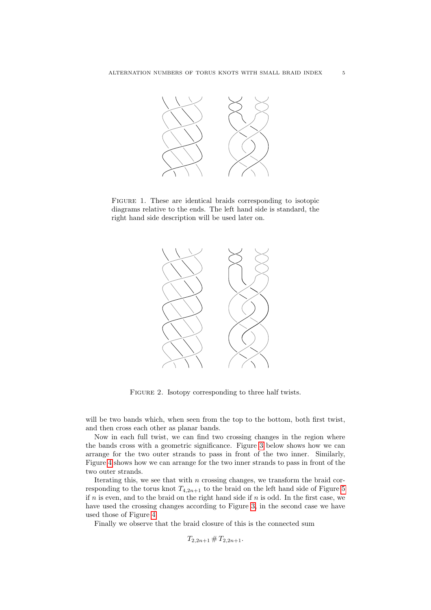<span id="page-4-0"></span>

<span id="page-4-1"></span>FIGURE 1. These are identical braids corresponding to isotopic diagrams relative to the ends. The left hand side is standard, the right hand side description will be used later on.



FIGURE 2. Isotopy corresponding to three half twists.

will be two bands which, when seen from the top to the bottom, both first twist, and then cross each other as planar bands.

Now in each full twist, we can find two crossing changes in the region where the bands cross with a geometric significance. Figure [3](#page-5-0) below shows how we can arrange for the two outer strands to pass in front of the two inner. Similarly, Figure [4](#page-5-0) shows how we can arrange for the two inner strands to pass in front of the two outer strands.

Iterating this, we see that with  $n$  crossing changes, we transform the braid corresponding to the torus knot  $T_{4,2n+1}$  to the braid on the left hand side of Figure [5](#page-5-1) if  $n$  is even, and to the braid on the right hand side if  $n$  is odd. In the first case, we have used the crossing changes according to Figure [3,](#page-5-0) in the second case we have used those of Figure [4.](#page-5-0)

Finally we observe that the braid closure of this is the connected sum

 $T_{2,2n+1}$  #  $T_{2,2n+1}$ .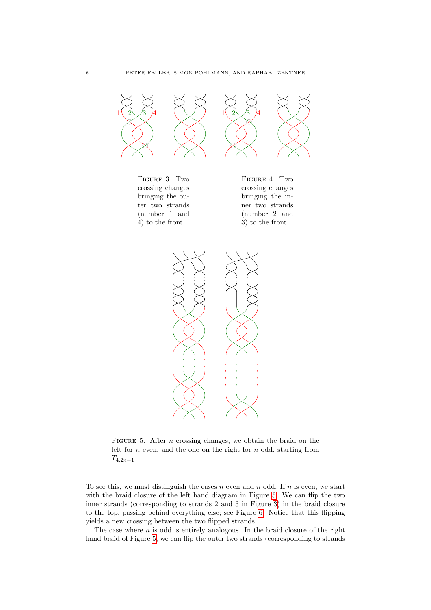<span id="page-5-1"></span><span id="page-5-0"></span>

FIGURE 5. After *n* crossing changes, we obtain the braid on the left for  $n$  even, and the one on the right for  $n$  odd, starting from  $T_{4,2n+1}.$ 

To see this, we must distinguish the cases  $n$  even and  $n$  odd. If  $n$  is even, we start with the braid closure of the left hand diagram in Figure [5.](#page-5-1) We can flip the two inner strands (corresponding to strands 2 and 3 in Figure [3\)](#page-5-0) in the braid closure to the top, passing behind everything else; see Figure [6.](#page-6-0) Notice that this flipping yields a new crossing between the two flipped strands.

The case where  $n$  is odd is entirely analogous. In the braid closure of the right hand braid of Figure [5,](#page-5-1) we can flip the outer two strands (corresponding to strands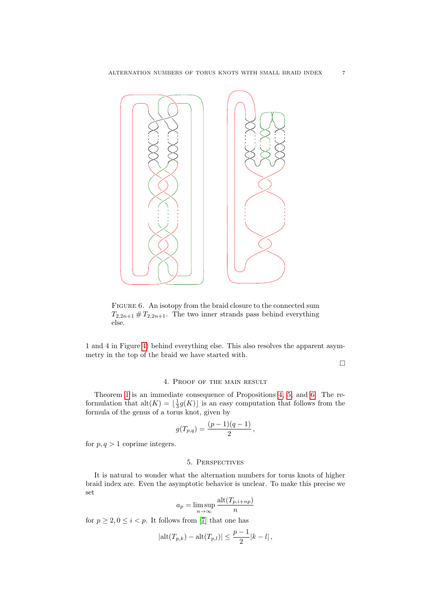<span id="page-6-0"></span>

FIGURE 6. An isotopy from the braid closure to the connected sum  $T_{2,2n+1} \# T_{2,2n+1}$ . The two inner strands pass behind everything else.

1 and 4 in Figure [4\)](#page-5-0) behind everything else. This also resolves the apparent asymmetry in the top of the braid we have started with.

 $\Box$ 

#### 4. Proof of the main result

Theorem [1](#page-0-0) is an immediate consequence of Propositions [4,](#page-2-4) [5,](#page-3-3) and [6.](#page-3-2) The reformulation that  $\text{alt}(K) = \lfloor \frac{1}{3}g(K) \rfloor$  is an easy computation that follows from the formula of the genus of a torus knot, given by

$$
g(T_{p,q}) = \frac{(p-1)(q-1)}{2},
$$

for  $p, q > 1$  coprime integers.

#### 5. Perspectives

It is natural to wonder what the alternation numbers for torus knots of higher braid index are. Even the asymptotic behavior is unclear. To make this precise we set

$$
a_p = \limsup_{n \to \infty} \frac{\text{alt}(T_{p,i+np})}{n}
$$

for  $p \ge 2, 0 \le i < p$ . It follows from [\[7\]](#page-7-8) that one has

$$
|\text{alt}(T_{p,k}) - \text{alt}(T_{p,l})| \le \frac{p-1}{2}|k-l|,
$$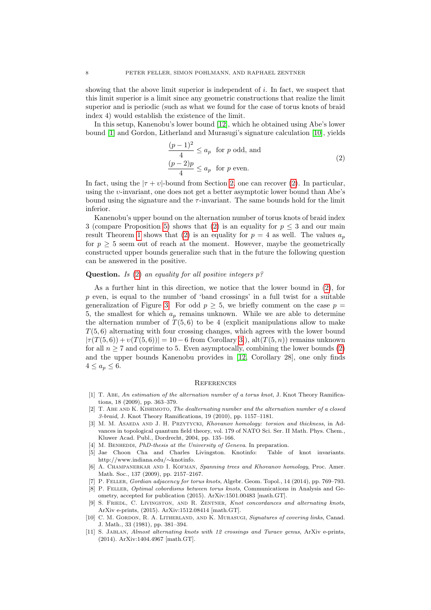showing that the above limit superior is independent of  $i$ . In fact, we suspect that this limit superior is a limit since any geometric constructions that realize the limit superior and is periodic (such as what we found for the case of torus knots of braid index 4) would establish the existence of the limit.

In this setup, Kanenobu's lower bound [\[12\]](#page-8-2), which he obtained using Abe's lower bound [\[1\]](#page-7-6) and Gordon, Litherland and Murasugi's signature calculation [\[10\]](#page-7-10), yields

$$
\frac{(p-1)^2}{4} \le a_p \text{ for } p \text{ odd, and}
$$
  

$$
\frac{(p-2)p}{4} \le a_p \text{ for } p \text{ even.}
$$
 (2)

<span id="page-7-11"></span>In fact, using the  $|\tau + \nu|$ -bound from Section [2,](#page-2-0) one can recover [\(2\)](#page-7-11). In particular, using the υ-invariant, one does not get a better asymptotic lower bound than Abe's bound using the signature and the  $\tau$ -invariant. The same bounds hold for the limit inferior.

Kanenobu's upper bound on the alternation number of torus knots of braid index 3 (compare Proposition [5\)](#page-3-3) shows that [\(2\)](#page-7-11) is an equality for  $p \leq 3$  and our main result Theorem [1](#page-0-0) shows that [\(2\)](#page-7-11) is an equality for  $p = 4$  as well. The values  $a_n$ for  $p \geq 5$  seem out of reach at the moment. However, maybe the geometrically constructed upper bounds generalize such that in the future the following question can be answered in the positive.

# **Question.** Is [\(2\)](#page-7-11) an equality for all positive integers  $p$ ?

As a further hint in this direction, we notice that the lower bound in [\(2\)](#page-7-11), for  $p$  even, is equal to the number of 'band crossings' in a full twist for a suitable generalization of Figure [3.](#page-5-0) For odd  $p \geq 5$ , we briefly comment on the case  $p =$ 5, the smallest for which  $a_p$  remains unknown. While we are able to determine the alternation number of  $T(5,6)$  to be 4 (explicit manipulations allow to make  $T(5, 6)$  alternating with four crossing changes, which agrees with the lower bound  $|\tau(T(5,6)) + \nu(T(5,6))| = 10 - 6$  from Corollary [3.](#page-2-3)), alt $(T(5,n))$  remains unknown for all  $n \geq 7$  and coprime to 5. Even asymptocally, combining the lower bounds [\(2\)](#page-7-11) and the upper bounds Kanenobu provides in [\[12,](#page-8-2) Corollary 28], one only finds  $4 \leq a_p \leq 6$ .

## **REFERENCES**

- <span id="page-7-6"></span>[1] T. Abe, An estimation of the alternation number of a torus knot, J. Knot Theory Ramifications, 18 (2009), pp. 363–379.
- <span id="page-7-9"></span>[2] T. Abe and K. Kishimoto, The dealternating number and the alternation number of a closed 3-braid, J. Knot Theory Ramifications, 19 (2010), pp. 1157–1181.
- <span id="page-7-3"></span>[3] M. M. ASAEDA AND J. H. PRZYTYCKI, Khovanov homology: torsion and thickness, in Advances in topological quantum field theory, vol. 179 of NATO Sci. Ser. II Math. Phys. Chem., Kluwer Acad. Publ., Dordrecht, 2004, pp. 135–166.
- <span id="page-7-4"></span>[4] M. BENHEDDI, PhD-thesis at the University of Geneva. In preparation.
- <span id="page-7-0"></span>[5] Jae Choon Cha and Charles Livingston. Knotinfo: Table of knot invariants. http://www.indiana.edu/∼knotinfo.
- <span id="page-7-2"></span>[6] A. CHAMPANERKAR AND I. KOFMAN, Spanning trees and Khovanov homology, Proc. Amer. Math. Soc., 137 (2009), pp. 2157–2167.
- <span id="page-7-8"></span>[7] P. Feller, Gordian adjacency for torus knots, Algebr. Geom. Topol., 14 (2014), pp. 769–793.
- <span id="page-7-7"></span>[8] P. Feller, Optimal cobordisms between torus knots, Communications in Analysis and Geometry, accepted for publication (2015). ArXiv:1501.00483 [math.GT].
- <span id="page-7-5"></span>[9] S. FRIEDL, C. LIVINGSTON, AND R. ZENTNER, Knot concordances and alternating knots, ArXiv e-prints, (2015). ArXiv:1512.08414 [math.GT].
- <span id="page-7-10"></span>[10] C. M. Gordon, R. A. Litherland, and K. Murasugi, Signatures of covering links, Canad. J. Math., 33 (1981), pp. 381–394.
- <span id="page-7-1"></span>[11] S. JABLAN, Almost alternating knots with 12 crossings and Turaev genus, ArXiv e-prints, (2014). ArXiv:1404.4967 [math.GT].